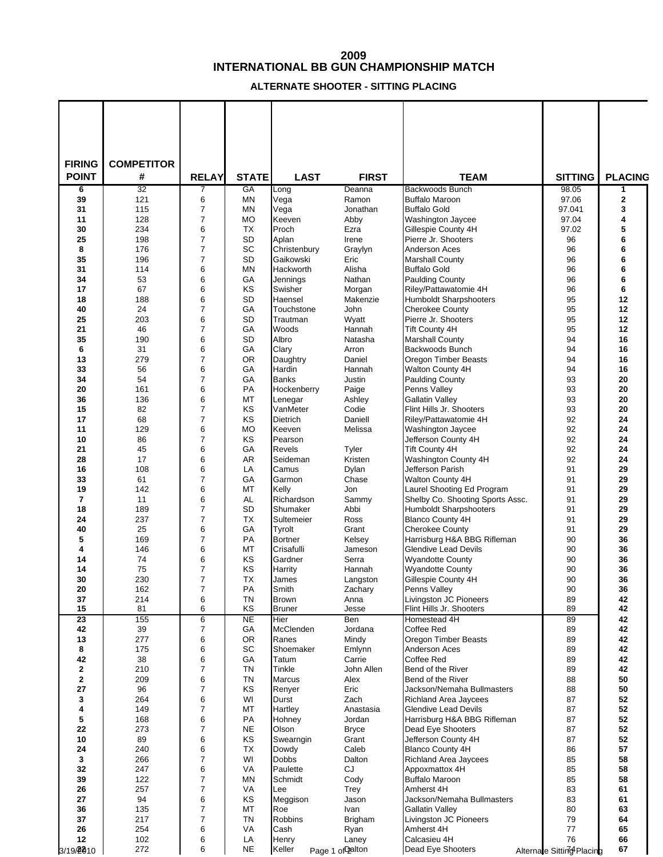## **INTERNATIONAL BB GUN CHAMPIONSHIP MATCH**

## **ALTERNATE SHOOTER - SITTING PLACING**

| <b>FIRING</b><br><b>POINT</b> | <b>COMPETITOR</b><br># |                |                 |                          |                    |                                                        |                           |                              |
|-------------------------------|------------------------|----------------|-----------------|--------------------------|--------------------|--------------------------------------------------------|---------------------------|------------------------------|
|                               | 32                     | <b>RELAY</b>   | <b>STATE</b>    | <b>LAST</b>              | <b>FIRST</b>       | <b>TEAM</b>                                            | <b>SITTING</b>            | <b>PLACING</b>               |
| 6<br>39                       | 121                    | 7<br>6         | GA<br>MN        | Long<br>Vega             | Deanna<br>Ramon    | Backwoods Bunch<br><b>Buffalo Maroon</b>               | 98.05<br>97.06            | 1<br>$\overline{\mathbf{2}}$ |
| 31                            | 115                    | $\overline{7}$ | MN              | Vega                     | Jonathan           | <b>Buffalo Gold</b>                                    | 97.041                    | 3                            |
| 11                            | 128                    | $\overline{7}$ | <b>MO</b>       | Keeven                   | Abby               | <b>Washington Jaycee</b>                               | 97.04                     | 4                            |
| 30                            | 234                    | 6              | <b>TX</b>       | Proch                    | Ezra               | Gillespie County 4H                                    | 97.02                     | 5                            |
| 25                            | 198                    | 7              | <b>SD</b>       | Aplan                    | Irene              | Pierre Jr. Shooters                                    | 96                        | 6                            |
| 8                             | 176                    | 7              | SC              | Christenbury             | Graylyn            | Anderson Aces                                          | 96                        | 6                            |
| 35                            | 196                    | 7              | <b>SD</b>       | Gaikowski                | Eric               | <b>Marshall County</b>                                 | 96                        | 6                            |
| 31                            | 114                    | 6              | MN              | Hackworth                | Alisha             | <b>Buffalo Gold</b>                                    | 96                        | 6                            |
| 34<br>17                      | 53<br>67               | 6<br>6         | GA              | Jennings                 | Nathan             | <b>Paulding County</b>                                 | 96<br>96                  | 6<br>6                       |
| 18                            | 188                    | 6              | KS<br><b>SD</b> | Swisher<br>Haensel       | Morgan<br>Makenzie | Riley/Pattawatomie 4H<br><b>Humboldt Sharpshooters</b> | 95                        | 12                           |
| 40                            | 24                     | 7              | GA              | Touchstone               | <b>John</b>        | <b>Cherokee County</b>                                 | 95                        | 12                           |
| 25                            | 203                    | 6              | <b>SD</b>       | Trautman                 | Wyatt              | Pierre Jr. Shooters                                    | 95                        | 12                           |
| 21                            | 46                     | $\overline{7}$ | GA              | Woods                    | Hannah             | <b>Tift County 4H</b>                                  | 95                        | 12                           |
| 35                            | 190                    | 6              | SD              | Albro                    | Natasha            | <b>Marshall County</b>                                 | 94                        | 16                           |
| 6                             | 31                     | 6              | GA              | Clary                    | Arron              | Backwoods Bunch                                        | 94                        | 16                           |
| 13                            | 279                    | 7              | <b>OR</b>       | Daughtry                 | Daniel             | Oregon Timber Beasts                                   | 94                        | 16                           |
| 33                            | 56                     | 6              | GA              | Hardin                   | Hannah             | Walton County 4H                                       | 94                        | 16                           |
| 34                            | 54                     | 7              | GA              | <b>Banks</b>             | Justin             | <b>Paulding County</b>                                 | 93                        | 20                           |
| 20                            | 161                    | 6              | PA              | Hockenberry              | Paige              | Penns Vallev                                           | 93                        | 20                           |
| 36                            | 136                    | 6              | MT              | Lenegar                  | Ashley             | Gallatin Valley                                        | 93                        | 20                           |
| 15                            | 82                     | 7              | KS              | VanMeter                 | Codie              | Flint Hills Jr. Shooters                               | 93                        | 20                           |
| 17                            | 68                     | 7              | KS              | <b>Dietrich</b>          | Daniell            | Riley/Pattawatomie 4H                                  | 92<br>92                  | 24                           |
| 11<br>10                      | 129<br>86              | 6<br>7         | <b>MO</b><br>KS | Keeven<br>Pearson        | Melissa            | Washington Jaycee<br>Jefferson County 4H               | 92                        | 24<br>24                     |
| 21                            | 45                     | 6              | GA              | <b>Revels</b>            | Tyler              | <b>Tift County 4H</b>                                  | 92                        | 24                           |
| 28                            | 17                     | 6              | AR              | Seideman                 | Kristen            | Washington County 4H                                   | 92                        | 24                           |
| 16                            | 108                    | 6              | LA              | Camus                    | Dylan              | Jefferson Parish                                       | 91                        | 29                           |
| 33                            | 61                     | $\overline{7}$ | GA              | Garmon                   | Chase              | Walton County 4H                                       | 91                        | 29                           |
| 19                            | 142                    | 6              | MT              | Kelly                    | Jon                | Laurel Shooting Ed Program                             | 91                        | 29                           |
| $\overline{7}$                | 11                     | 6              | AL              | Richardson               | Sammy              | Shelby Co. Shooting Sports Assc.                       | 91                        | 29                           |
| 18                            | 189                    | 7              | <b>SD</b>       | Shumaker                 | Abbi               | <b>Humboldt Sharpshooters</b>                          | 91                        | 29                           |
| 24                            | 237                    | $\overline{7}$ | <b>TX</b>       | Sultemeier               | Ross               | <b>Blanco County 4H</b>                                | 91                        | 29                           |
| 40                            | 25                     | 6              | GA              | Tyrolt                   | Grant              | <b>Cherokee County</b>                                 | 91                        | 29                           |
| 5                             | 169                    | $\overline{7}$ | <b>PA</b>       | <b>Bortner</b>           | Kelsey             | Harrisburg H&A BBG Rifleman                            | 90                        | 36                           |
| 4                             | 146                    | 6              | MT              | Crisafulli               | Jameson            | <b>Glendive Lead Devils</b><br><b>Wyandotte County</b> | 90                        | 36                           |
| 14<br>14                      | 74<br>75               | 6<br>7         | KS<br>KS        | Gardner<br>Harrity       | Serra<br>Hannah    | <b>Wyandotte County</b>                                | 90<br>90                  | 36<br>36                     |
| 30                            | 230                    | $\overline{7}$ | <b>TX</b>       | James                    | Langston           | Gillespie County 4H                                    | 90                        | 36                           |
| 20                            | 162                    | 7              | PA              | Smith                    | Zachary            | Penns Valley                                           | 90                        | 36                           |
| 37                            | 214                    | 6              | <b>TN</b>       | Brown                    | Anna               | Livingston JC Pioneers                                 | 89                        | 42                           |
| 15                            | 81                     | 6              | KS              | <b>Bruner</b>            | Jesse              | Flint Hills Jr. Shooters                               | 89                        | 42                           |
| $\overline{23}$               | 155                    | 6              | <b>NE</b>       | Hier                     | <b>Ben</b>         | Homestead 4H                                           | 89                        | 42                           |
| 42                            | 39                     | $\overline{7}$ | GA              | McClenden                | Jordana            | Coffee Red                                             | 89                        | 42                           |
| 13                            | 277                    | 6              | OR              | Ranes                    | Mindy              | Oregon Timber Beasts                                   | 89                        | 42                           |
| 8<br>42                       | 175<br>38              | 6<br>6         | SC<br>GA        | Shoemaker<br>Tatum       | Emlynn<br>Carrie   | Anderson Aces<br>Coffee Red                            | 89<br>89                  | 42<br>42                     |
| $\mathbf{2}$                  | 210                    | $\overline{7}$ | <b>TN</b>       | Tinkle                   | John Allen         | Bend of the River                                      | 89                        | 42                           |
| $\mathbf 2$                   | 209                    | 6              | <b>TN</b>       | <b>Marcus</b>            | Alex               | Bend of the River                                      | 88                        | 50                           |
| 27                            | 96                     | $\overline{7}$ | KS              | Renyer                   | Eric               | Jackson/Nemaha Bullmasters                             | 88                        | 50                           |
| 3                             | 264                    | 6              | WI              | Durst                    | Zach               | <b>Richland Area Jaycees</b>                           | 87                        | 52                           |
| 4                             | 149                    | $\overline{7}$ | МT              | Hartley                  | Anastasia          | <b>Glendive Lead Devils</b>                            | 87                        | 52                           |
| 5                             | 168                    | 6              | PA              | Hohney                   | Jordan             | Harrisburg H&A BBG Rifleman                            | 87                        | 52                           |
| 22                            | 273                    | 7              | <b>NE</b>       | Olson                    | <b>Bryce</b>       | Dead Eye Shooters                                      | 87                        | 52                           |
| 10                            | 89                     | 6              | KS              | Swearngin                | Grant              | Jefferson County 4H                                    | 87                        | 52                           |
| 24                            | 240                    | 6              | TX              | Dowdy                    | Caleb              | Blanco County 4H                                       | 86                        | 57<br>58                     |
| 3<br>32                       | 266<br>247             | 7<br>6         | WI<br>VA        | <b>Dobbs</b><br>Paulette | Dalton<br>CJ       | Richland Area Jaycees<br>Appoxmattox 4H                | 85<br>85                  | 58                           |
| 39                            | 122                    | $\overline{7}$ | MN              | Schmidt                  | Cody               | <b>Buffalo Maroon</b>                                  | 85                        | 58                           |
| 26                            | 257                    | 7              | VA              | Lee                      | Trey               | Amherst 4H                                             | 83                        | 61                           |
| 27                            | 94                     | 6              | KS              | Meggison                 | Jason              | Jackson/Nemaha Bullmasters                             | 83                        | 61                           |
| 36                            | 135                    | $\overline{7}$ | МT              | Roe                      | Ivan               | <b>Gallatin Valley</b>                                 | 80                        | 63                           |
| 37                            | 217                    | $\overline{7}$ | <b>TN</b>       | <b>Robbins</b>           | Brigham            | Livingston JC Pioneers                                 | 79                        | 64                           |
| 26                            | 254                    | 6              | VA              | Cash                     | Ryan               | Amherst 4H                                             | $77\,$                    | 65                           |
| 12                            | 102                    | 6              | LA              | Henry                    | Laney              | Calcasieu 4H                                           | 76                        | 66                           |
| 3/19/2010                     | 272                    | 6              | <b>NE</b>       | Keller                   | Page 1 of Dalton   | Dead Eye Shooters                                      | Alternate Sitting Placing | 67                           |